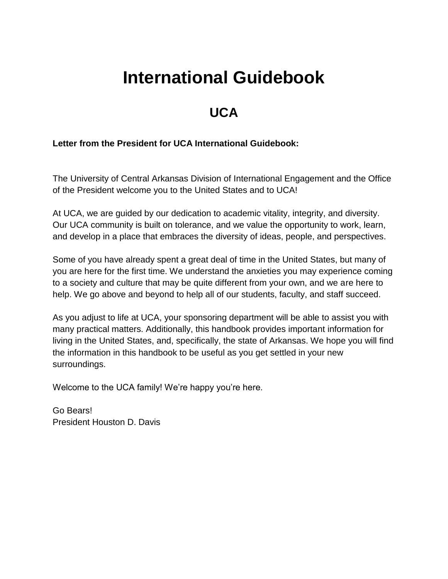# **International Guidebook**

## **UCA**

#### **Letter from the President for UCA International Guidebook:**

The University of Central Arkansas Division of International Engagement and the Office of the President welcome you to the United States and to UCA!

At UCA, we are guided by our dedication to academic vitality, integrity, and diversity. Our UCA community is built on tolerance, and we value the opportunity to work, learn, and develop in a place that embraces the diversity of ideas, people, and perspectives.

Some of you have already spent a great deal of time in the United States, but many of you are here for the first time. We understand the anxieties you may experience coming to a society and culture that may be quite different from your own, and we are here to help. We go above and beyond to help all of our students, faculty, and staff succeed.

As you adjust to life at UCA, your sponsoring department will be able to assist you with many practical matters. Additionally, this handbook provides important information for living in the United States, and, specifically, the state of Arkansas. We hope you will find the information in this handbook to be useful as you get settled in your new surroundings.

Welcome to the UCA family! We're happy you're here.

Go Bears! President Houston D. Davis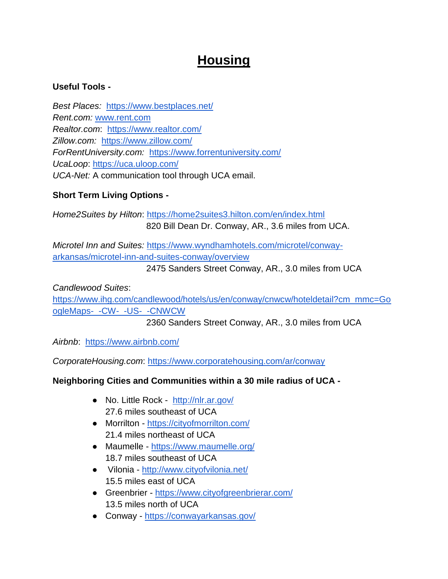## **Housing**

### **Useful Tools -**

*Best Places:* <https://www.bestplaces.net/> *Rent.com:* [www.rent.com](http://www.rent.com/) *Realtor.com*: <https://www.realtor.com/> *Zillow.com:* <https://www.zillow.com/> *ForRentUniversity.com:* <https://www.forrentuniversity.com/> *UcaLoop*:<https://uca.uloop.com/> *UCA-Net:* A communication tool through UCA email.

## **Short Term Living Options -**

*Home2Suites by Hilton*:<https://home2suites3.hilton.com/en/index.html> 820 Bill Dean Dr. Conway, AR., 3.6 miles from UCA.

*Microtel Inn and Suites:* [https://www.wyndhamhotels.com/microtel/conway](https://www.wyndhamhotels.com/microtel/conway-arkansas/microtel-inn-and-suites-conway/overview)[arkansas/microtel-inn-and-suites-conway/overview](https://www.wyndhamhotels.com/microtel/conway-arkansas/microtel-inn-and-suites-conway/overview)

2475 Sanders Street Conway, AR., 3.0 miles from UCA

*Candlewood Suites*: [https://www.ihg.com/candlewood/hotels/us/en/conway/cnwcw/hoteldetail?cm\\_mmc=Go](https://www.ihg.com/candlewood/hotels/us/en/conway/cnwcw/hoteldetail?cm_mmc=GoogleMaps-_-CW-_-US-_-CNWCW) [ogleMaps-\\_-CW-\\_-US-\\_-CNWCW](https://www.ihg.com/candlewood/hotels/us/en/conway/cnwcw/hoteldetail?cm_mmc=GoogleMaps-_-CW-_-US-_-CNWCW)

2360 Sanders Street Conway, AR., 3.0 miles from UCA

*Airbnb*: <https://www.airbnb.com/>

*CorporateHousing.com*:<https://www.corporatehousing.com/ar/conway>

## **Neighboring Cities and Communities within a 30 mile radius of UCA -**

- No. Little Rock <http://nlr.ar.gov/> 27.6 miles southeast of UCA
- Morrilton <https://cityofmorrilton.com/> 21.4 miles northeast of UCA
- Maumelle <https://www.maumelle.org/> 18.7 miles southeast of UCA
- Vilonia <http://www.cityofvilonia.net/> 15.5 miles east of UCA
- Greenbrier <https://www.cityofgreenbrierar.com/> 13.5 miles north of UCA
- Conway <https://conwayarkansas.gov/>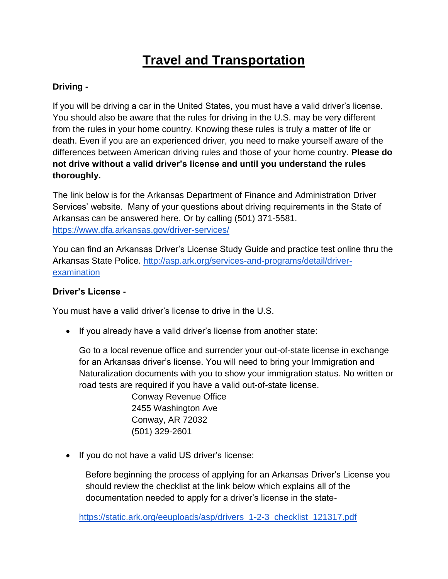## **Travel and Transportation**

## **Driving -**

If you will be driving a car in the United States, you must have a valid driver's license. You should also be aware that the rules for driving in the U.S. may be very different from the rules in your home country. Knowing these rules is truly a matter of life or death. Even if you are an experienced driver, you need to make yourself aware of the differences between American driving rules and those of your home country. **Please do not drive without a valid driver's license and until you understand the rules thoroughly.**

The link below is for the Arkansas Department of Finance and Administration Driver Services' website. Many of your questions about driving requirements in the State of Arkansas can be answered here. Or by calling (501) 371-5581. <https://www.dfa.arkansas.gov/driver-services/>

You can find an Arkansas Driver's License Study Guide and practice test online thru the Arkansas State Police. [http://asp.ark.org/services-and-programs/detail/driver](http://asp.ark.org/services-and-programs/detail/driver-examination)[examination](http://asp.ark.org/services-and-programs/detail/driver-examination)

## **Driver's License -**

You must have a valid driver's license to drive in the U.S.

• If you already have a valid driver's license from another state:

Go to a local revenue office and surrender your out-of-state license in exchange for an Arkansas driver's license. You will need to bring your Immigration and Naturalization documents with you to show your immigration status. No written or road tests are required if you have a valid out-of-state license.

> Conway Revenue Office 2455 Washington Ave Conway, AR 72032 (501) 329-2601

• If you do not have a valid US driver's license:

Before beginning the process of applying for an Arkansas Driver's License you should review the checklist at the link below which explains all of the documentation needed to apply for a driver's license in the state-

[https://static.ark.org/eeuploads/asp/drivers\\_1-2-3\\_checklist\\_121317.pdf](https://static.ark.org/eeuploads/asp/drivers_1-2-3_checklist_121317.pdf)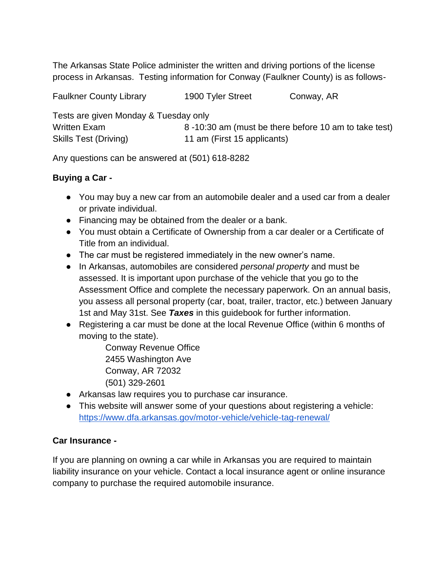The Arkansas State Police administer the written and driving portions of the license process in Arkansas. Testing information for Conway (Faulkner County) is as follows-

Faulkner County Library 1900 Tyler Street Conway, AR

| Tests are given Monday & Tuesday only |                                                      |
|---------------------------------------|------------------------------------------------------|
| Written Exam                          | 8-10:30 am (must be there before 10 am to take test) |
| Skills Test (Driving)                 | 11 am (First 15 applicants)                          |

Any questions can be answered at (501) 618-8282

## **Buying a Car -**

- You may buy a new car from an automobile dealer and a used car from a dealer or private individual.
- Financing may be obtained from the dealer or a bank.
- You must obtain a Certificate of Ownership from a car dealer or a Certificate of Title from an individual.
- The car must be registered immediately in the new owner's name.
- In Arkansas, automobiles are considered *personal property* and must be assessed. It is important upon purchase of the vehicle that you go to the Assessment Office and complete the necessary paperwork. On an annual basis, you assess all personal property (car, boat, trailer, tractor, etc.) between January 1st and May 31st. See *Taxes* in this guidebook for further information.
- Registering a car must be done at the local Revenue Office (within 6 months of moving to the state).

Conway Revenue Office 2455 Washington Ave Conway, AR 72032 (501) 329-2601

- Arkansas law requires you to purchase car insurance.
- This website will answer some of your questions about registering a vehicle: <https://www.dfa.arkansas.gov/motor-vehicle/vehicle-tag-renewal/>

## **Car Insurance -**

If you are planning on owning a car while in Arkansas you are required to maintain liability insurance on your vehicle. Contact a local insurance agent or online insurance company to purchase the required automobile insurance.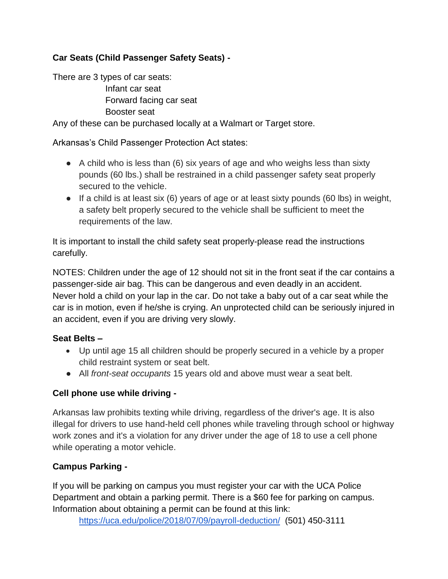## **Car Seats (Child Passenger Safety Seats) -**

There are 3 types of car seats: Infant car seat Forward facing car seat Booster seat

Any of these can be purchased locally at a Walmart or Target store.

Arkansas's Child Passenger Protection Act states:

- $\bullet$  A child who is less than (6) six years of age and who weighs less than sixty pounds (60 lbs.) shall be restrained in a child passenger safety seat properly secured to the vehicle.
- If a child is at least six (6) years of age or at least sixty pounds (60 lbs) in weight, a safety belt properly secured to the vehicle shall be sufficient to meet the requirements of the law.

It is important to install the child safety seat properly-please read the instructions carefully.

NOTES: Children under the age of 12 should not sit in the front seat if the car contains a passenger-side air bag. This can be dangerous and even deadly in an accident. Never hold a child on your lap in the car. Do not take a baby out of a car seat while the car is in motion, even if he/she is crying. An unprotected child can be seriously injured in an accident, even if you are driving very slowly.

#### **Seat Belts –**

- Up until age 15 all children should be properly secured in a vehicle by a proper child restraint system or seat belt.
- All *front-seat occupants* 15 years old and above must wear a seat belt.

#### **Cell phone use while driving -**

Arkansas law prohibits texting while driving, regardless of the driver's age. It is also illegal for drivers to use hand-held cell phones while traveling through school or highway work zones and it's a violation for any driver under the age of 18 to use a cell phone while operating a motor vehicle.

## **Campus Parking -**

If you will be parking on campus you must register your car with the UCA Police Department and obtain a parking permit. There is a \$60 fee for parking on campus. Information about obtaining a permit can be found at this link:

<https://uca.edu/police/2018/07/09/payroll-deduction/>(501) 450-3111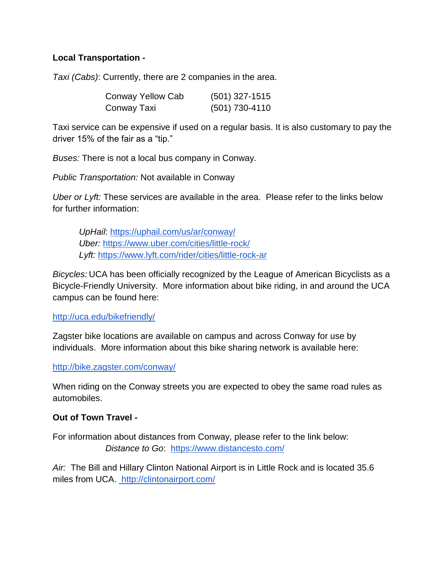#### **Local Transportation -**

*Taxi (Cabs)*: Currently, there are 2 companies in the area.

| Conway Yellow Cab | $(501)$ 327-1515 |
|-------------------|------------------|
| Conway Taxi       | (501) 730-4110   |

Taxi service can be expensive if used on a regular basis. It is also customary to pay the driver 15% of the fair as a "tip."

*Buses:* There is not a local bus company in Conway.

*Public Transportation:* Not available in Conway

*Uber or Lyft:* These services are available in the area. Please refer to the links below for further information:

*UpHail*:<https://uphail.com/us/ar/conway/> *Uber:* <https://www.uber.com/cities/little-rock/> *Lyft:* <https://www.lyft.com/rider/cities/little-rock-ar>

*Bicycles:* UCA has been officially recognized by the League of American Bicyclists as a Bicycle-Friendly University. More information about bike riding, in and around the UCA campus can be found here:

<http://uca.edu/bikefriendly/>

Zagster bike locations are available on campus and across Conway for use by individuals. More information about this bike sharing network is available here[:](http://bike.zagster.com/conway/)

<http://bike.zagster.com/conway/>

When riding on the Conway streets you are expected to obey the same road rules as automobiles.

#### **Out of Town Travel -**

For information about distances from Conway, please refer to the link below: *Distance to Go*: <https://www.distancesto.com/>

*Air:* The Bill and Hillary Clinton National Airport is in Little Rock and is located 35.6 miles from UCA.<http://clintonairport.com/>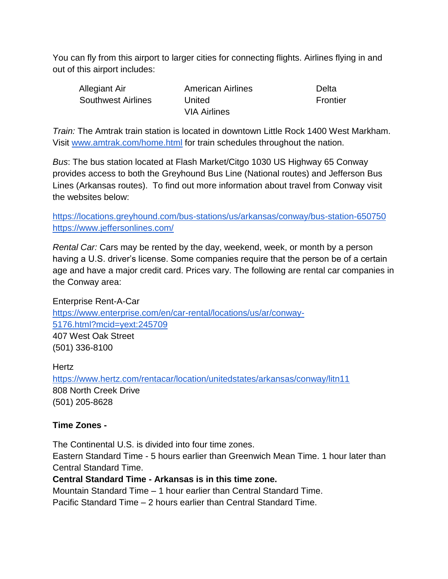You can fly from this airport to larger cities for connecting flights. Airlines flying in and out of this airport includes:

| <b>Allegiant Air</b> | <b>American Airlines</b> | Delta    |
|----------------------|--------------------------|----------|
| Southwest Airlines   | United                   | Frontier |
|                      | <b>VIA Airlines</b>      |          |

*Train:* The Amtrak train station is located in downtown Little Rock 1400 West Markham. Visi[t](http://www.amtrak.com/home.html) [www.amtrak.com/home.html](http://www.amtrak.com/home.html) for train schedules throughout the nation.

*Bus*: The bus station located at Flash Market/Citgo 1030 US Highway 65 Conway provides access to both the Greyhound Bus Line (National routes) and Jefferson Bus Lines (Arkansas routes). To find out more information about travel from Conway visit the websites below:

<https://locations.greyhound.com/bus-stations/us/arkansas/conway/bus-station-650750> <https://www.jeffersonlines.com/>

*Rental Car:* Cars may be rented by the day, weekend, week, or month by a person having a U.S. driver's license. Some companies require that the person be of a certain age and have a major credit card. Prices vary. The following are rental car companies in the Conway area:

Enterprise Rent-A-Car [https://www.enterprise.com/en/car-rental/locations/us/ar/conway-](https://www.enterprise.com/en/car-rental/locations/us/ar/conway-5176.html?mcid=yext:245709)[5176.html?mcid=yext:245709](https://www.enterprise.com/en/car-rental/locations/us/ar/conway-5176.html?mcid=yext:245709) 407 West Oak Street (501) 336-8100

#### **Hertz**

<https://www.hertz.com/rentacar/location/unitedstates/arkansas/conway/litn11> 808 North Creek Drive (501) 205-8628

#### **Time Zones -**

The Continental U.S. is divided into four time zones. Eastern Standard Time - 5 hours earlier than Greenwich Mean Time. 1 hour later than Central Standard Time. **Central Standard Time - Arkansas is in this time zone.**

Mountain Standard Time – 1 hour earlier than Central Standard Time.

Pacific Standard Time – 2 hours earlier than Central Standard Time.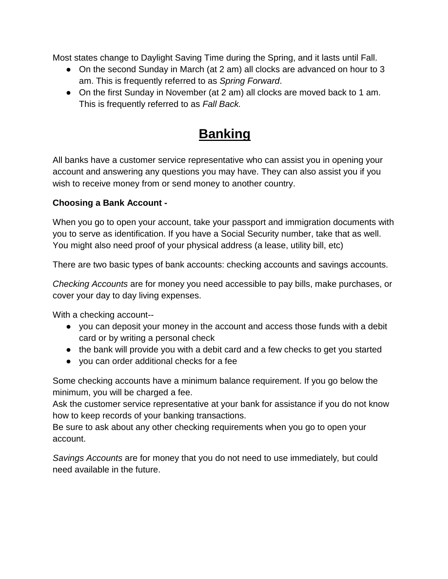Most states change to Daylight Saving Time during the Spring, and it lasts until Fall.

- On the second Sunday in March (at 2 am) all clocks are advanced on hour to 3 am. This is frequently referred to as *Spring Forward*.
- On the first Sunday in November (at 2 am) all clocks are moved back to 1 am. This is frequently referred to as *Fall Back.*

## **Banking**

All banks have a customer service representative who can assist you in opening your account and answering any questions you may have. They can also assist you if you wish to receive money from or send money to another country.

### **Choosing a Bank Account -**

When you go to open your account, take your passport and immigration documents with you to serve as identification. If you have a Social Security number, take that as well. You might also need proof of your physical address (a lease, utility bill, etc)

There are two basic types of bank accounts: checking accounts and savings accounts.

*Checking Accounts* are for money you need accessible to pay bills, make purchases, or cover your day to day living expenses.

With a checking account--

- you can deposit your money in the account and access those funds with a debit card or by writing a personal check
- the bank will provide you with a debit card and a few checks to get you started
- you can order additional checks for a fee

Some checking accounts have a minimum balance requirement. If you go below the minimum, you will be charged a fee.

Ask the customer service representative at your bank for assistance if you do not know how to keep records of your banking transactions.

Be sure to ask about any other checking requirements when you go to open your account.

*Savings Accounts* are for money that you do not need to use immediately*,* but could need available in the future.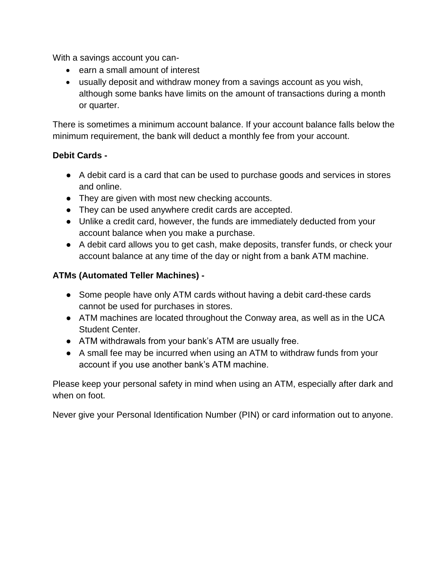With a savings account you can-

- earn a small amount of interest
- usually deposit and withdraw money from a savings account as you wish, although some banks have limits on the amount of transactions during a month or quarter.

There is sometimes a minimum account balance. If your account balance falls below the minimum requirement, the bank will deduct a monthly fee from your account.

#### **Debit Cards -**

- A debit card is a card that can be used to purchase goods and services in stores and online.
- They are given with most new checking accounts.
- They can be used anywhere credit cards are accepted.
- Unlike a credit card, however, the funds are immediately deducted from your account balance when you make a purchase.
- A debit card allows you to get cash, make deposits, transfer funds, or check your account balance at any time of the day or night from a bank ATM machine.

## **ATMs (Automated Teller Machines) -**

- Some people have only ATM cards without having a debit card-these cards cannot be used for purchases in stores.
- ATM machines are located throughout the Conway area, as well as in the UCA Student Center.
- ATM withdrawals from your bank's ATM are usually free.
- A small fee may be incurred when using an ATM to withdraw funds from your account if you use another bank's ATM machine.

Please keep your personal safety in mind when using an ATM, especially after dark and when on foot.

Never give your Personal Identification Number (PIN) or card information out to anyone.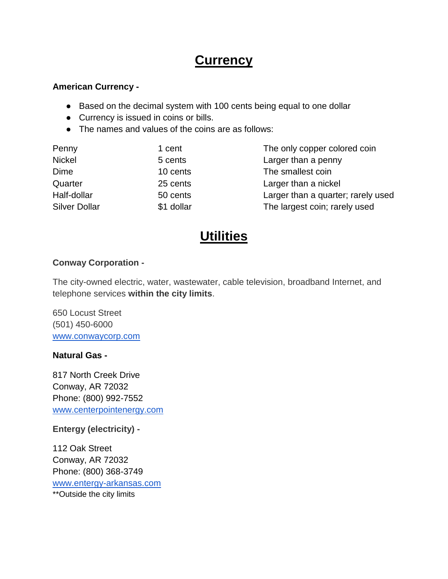## **Currency**

#### **American Currency -**

- Based on the decimal system with 100 cents being equal to one dollar
- Currency is issued in coins or bills.
- The names and values of the coins are as follows:

| Penny                | 1 cent     | The only copper colored coin       |
|----------------------|------------|------------------------------------|
| <b>Nickel</b>        | 5 cents    | Larger than a penny                |
| Dime                 | 10 cents   | The smallest coin                  |
| Quarter              | 25 cents   | Larger than a nickel               |
| Half-dollar          | 50 cents   | Larger than a quarter; rarely used |
| <b>Silver Dollar</b> | \$1 dollar | The largest coin; rarely used      |

## **Utilities**

#### **Conway Corporation -**

The city-owned electric, water, wastewater, cable television, broadband Internet, and telephone services **within the city limits**.

650 Locust Street (501) 450-6000 [www.conwaycorp.com](http://www.conwaycorp.com/)

#### **Natural Gas -**

817 North Creek Drive Conway, AR 72032 Phone: (800) 992-7552 [www.centerpointenergy.com](http://www.centerpointenergy.com/home)

**Entergy (electricity) -**

112 Oak Street Conway, AR 72032 Phone: (800) 368-3749 [www.entergy-arkansas.com](http://www.entergy-arkansas.com/) \*\*Outside the city limit[s](http://www.entergy-arkansas.com/)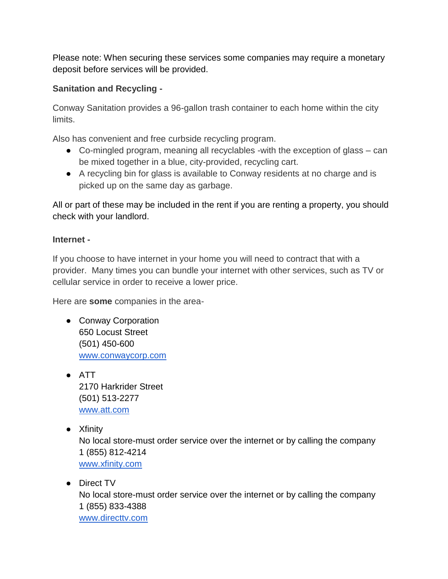Please note: When securing these services some companies may require a monetary deposit before services will be provided.

## **Sanitation and Recycling -**

Conway Sanitation provides a 96-gallon trash container to each home within the city limits.

Also has convenient and free curbside recycling program.

- Co-mingled program, meaning all recyclables -with the exception of glass can be mixed together in a blue, city-provided, recycling cart.
- A recycling bin for glass is available to Conway residents at no charge and is picked up on the same day as garbage.

All or part of these may be included in the rent if you are renting a property, you should check with your landlord.

### **Internet -**

If you choose to have internet in your home you will need to contract that with a provider. Many times you can bundle your internet with other services, such as TV or cellular service in order to receive a lower price.

Here are **some** companies in the area-

- Conway Corporation 650 Locust Street (501) 450-600 [www.conwaycorp.com](http://www.conwaycorp.com/)
- ATT 2170 Harkrider Street (501) 513-2277 [www.att.com](http://www.att.com/)
- Xfinity No local store-must order service over the internet or by calling the company 1 (855) 812-4214 [www.xfinity.com](http://www.xfinity.com/)
- Direct TV No local store-must order service over the internet or by calling the company 1 (855) 833-4388 [www.directtv.com](http://www.directtv.com/)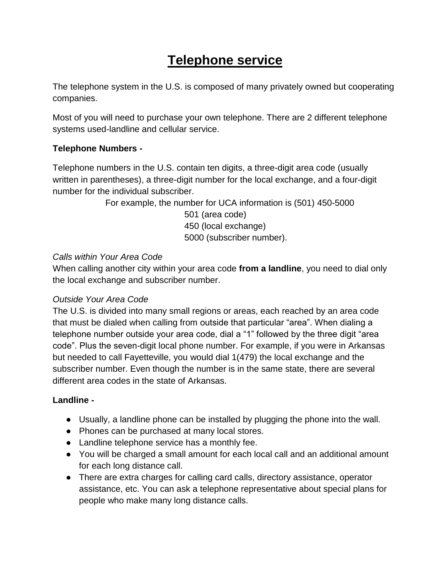## **Telephone service**

The telephone system in the U.S. is composed of many privately owned but cooperating companies.

Most of you will need to purchase your own telephone. There are 2 different telephone systems used-landline and cellular service.

## **Telephone Numbers -**

Telephone numbers in the U.S. contain ten digits, a three-digit area code (usually written in parentheses), a three-digit number for the local exchange, and a four-digit number for the individual subscriber.

For example, the number for UCA information is (501) 450-5000

 501 (area code) 450 (local exchange) 5000 (subscriber number).

### *Calls within Your Area Code*

When calling another city within your area code **from a landline**, you need to dial only the local exchange and subscriber number.

## *Outside Your Area Code*

The U.S. is divided into many small regions or areas, each reached by an area code that must be dialed when calling from outside that particular "area". When dialing a telephone number outside your area code, dial a "1" followed by the three digit "area code". Plus the seven-digit local phone number. For example, if you were in Arkansas but needed to call Fayetteville, you would dial 1(479) the local exchange and the subscriber number. Even though the number is in the same state, there are several different area codes in the state of Arkansas.

#### **Landline -**

- Usually, a landline phone can be installed by plugging the phone into the wall.
- Phones can be purchased at many local stores.
- Landline telephone service has a monthly fee.
- You will be charged a small amount for each local call and an additional amount for each long distance call.
- There are extra charges for calling card calls, directory assistance, operator assistance, etc. You can ask a telephone representative about special plans for people who make many long distance calls.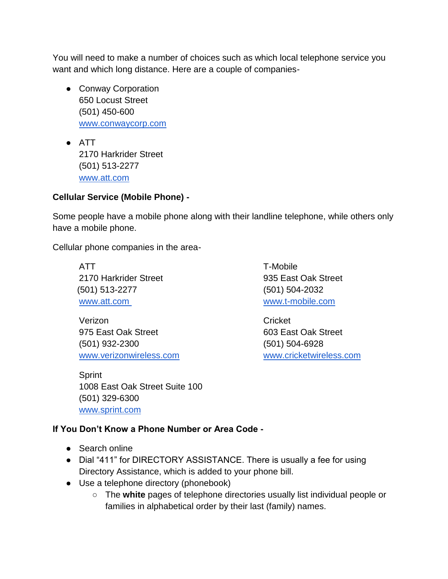You will need to make a number of choices such as which local telephone service you want and which long distance. Here are a couple of companies-

- Conway Corporation 650 Locust Street (501) 450-600 [www.conwaycorp.com](http://www.conwaycorp.com/)
- ATT 2170 Harkrider Street (501) 513-2277 [www.att.com](http://www.att.com/)

### **Cellular Service (Mobile Phone) -**

Some people have a mobile phone along with their landline telephone, while others only have a mobile phone.

Cellular phone companies in the area-

ATT T-Mobile 2170 Harkrider Street 935 East Oak Street (501) 513-2277 (501) 504-2032 [www.att.com](http://www.att.com/) [www.t-mobile.com](http://www.att.com/)

Verizon Cricket 975 East Oak Street 603 East Oak Street (501) 932-2300 (501) 504-6928 [www.verizonwireless.com](http://www.verizonwireless.com/) [www.cricketwireless.com](http://www.verizonwireless.com/)

**Sprint** 1008 East Oak Street Suite 100 (501) 329-6300 [www.sprint.com](http://www.sprint.com/)

## **If You Don't Know a Phone Number or Area Code -**

- Search online
- Dial "411" for DIRECTORY ASSISTANCE. There is usually a fee for using Directory Assistance, which is added to your phone bill.
- Use a telephone directory (phonebook)
	- The **white** pages of telephone directories usually list individual people or families in alphabetical order by their last (family) names.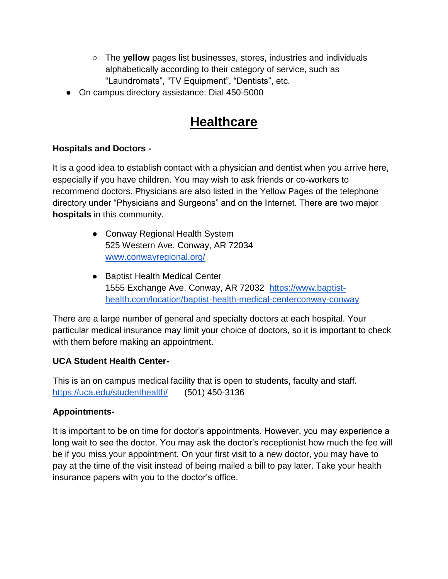- The **yellow** pages list businesses, stores, industries and individuals alphabetically according to their category of service, such as "Laundromats", "TV Equipment", "Dentists", etc.
- On campus directory assistance: Dial 450-5000

## **Healthcare**

#### **Hospitals and Doctors -**

It is a good idea to establish contact with a physician and dentist when you arrive here, especially if you have children. You may wish to ask friends or co-workers to recommend doctors. Physicians are also listed in the Yellow Pages of the telephone directory under "Physicians and Surgeons" and on the Internet. There are two major **hospitals** in this community.

- Conway Regional Health System 525 Western Ave. Conway, AR 72034 [www.conwayregional.org/](http://www.conwayregional.org/)
- Baptist Health Medical Center 1555 Exchange Ave. Conway, AR 72032 [https://www.baptist](https://www.baptist-health.com/location/baptist-health-medical-centerconway-conway)[health.com/location/baptist-health-medical-centerconway-conway](https://www.baptist-health.com/location/baptist-health-medical-centerconway-conway)

There are a large number of general and specialty doctors at each hospital. Your particular medical insurance may limit your choice of doctors, so it is important to check with them before making an appointment.

#### **UCA Student Health Center-**

This is an on campus medical facility that is open to students, faculty and staff. <https://uca.edu/studenthealth/> (501) 450-3136

#### **Appointments-**

It is important to be on time for doctor's appointments. However, you may experience a long wait to see the doctor. You may ask the doctor's receptionist how much the fee will be if you miss your appointment. On your first visit to a new doctor, you may have to pay at the time of the visit instead of being mailed a bill to pay later. Take your health insurance papers with you to the doctor's office.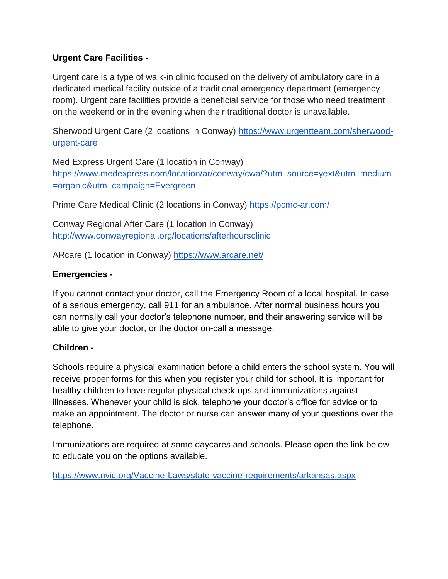### **Urgent Care Facilities -**

Urgent care is a type of walk-in clinic focused on the delivery of ambulatory care in a dedicated medical facility outside of a traditional emergency department (emergency room). Urgent care facilities provide a beneficial service for those who need treatment on the weekend or in the evening when their traditional doctor is unavailable.

Sherwood Urgent Care (2 locations in Conway) [https://www.urgentteam.com/sherwood](https://www.urgentteam.com/sherwood-urgent-care)[urgent-care](https://www.urgentteam.com/sherwood-urgent-care)

Med Express Urgent Care (1 location in Conway) [https://www.medexpress.com/location/ar/conway/cwa/?utm\\_source=yext&utm\\_medium](https://www.medexpress.com/location/ar/conway/cwa/?utm_source=yext&utm_medium=organic&utm_campaign=Evergreen) [=organic&utm\\_campaign=Evergreen](https://www.medexpress.com/location/ar/conway/cwa/?utm_source=yext&utm_medium=organic&utm_campaign=Evergreen)

Prime Care Medical Clinic (2 locations in Conway)<https://pcmc-ar.com/>

Conway Regional After Care (1 location in Conway) <http://www.conwayregional.org/locations/afterhoursclinic>

ARcare (1 location in Conway) <https://www.arcare.net/>

#### **Emergencies -**

If you cannot contact your doctor, call the Emergency Room of a local hospital. In case of a serious emergency, call 911 for an ambulance. After normal business hours you can normally call your doctor's telephone number, and their answering service will be able to give your doctor, or the doctor on-call a message.

#### **Children -**

Schools require a physical examination before a child enters the school system. You will receive proper forms for this when you register your child for school. It is important for healthy children to have regular physical check-ups and immunizations against illnesses. Whenever your child is sick, telephone your doctor's office for advice or to make an appointment. The doctor or nurse can answer many of your questions over the telephone.

Immunizations are required at some daycares and schools. Please open the link below to educate you on the options available.

<https://www.nvic.org/Vaccine-Laws/state-vaccine-requirements/arkansas.aspx>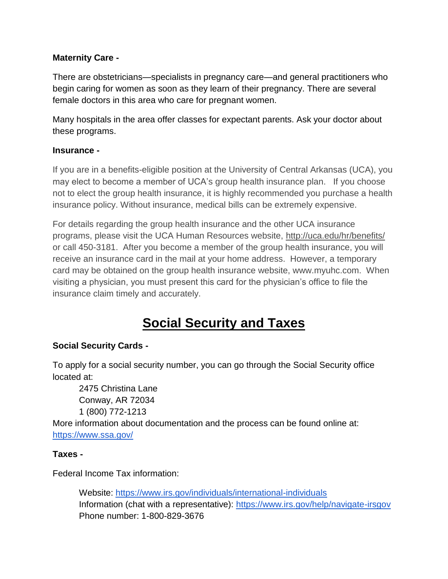### **Maternity Care -**

There are obstetricians—specialists in pregnancy care—and general practitioners who begin caring for women as soon as they learn of their pregnancy. There are several female doctors in this area who care for pregnant women.

Many hospitals in the area offer classes for expectant parents. Ask your doctor about these programs.

#### **Insurance -**

If you are in a benefits-eligible position at the University of Central Arkansas (UCA), you may elect to become a member of UCA's group health insurance plan. If you choose not to elect the group health insurance, it is highly recommended you purchase a health insurance policy. Without insurance, medical bills can be extremely expensive.

For details regarding the group health insurance and the other UCA insurance programs, please visit the UCA Human Resources website,<http://uca.edu/hr/benefits/> or call 450-3181. After you become a member of the group health insurance, you will receive an insurance card in the mail at your home address. However, a temporary card may be obtained on the group health insurance website, www.myuhc.com. When visiting a physician, you must present this card for the physician's office to file the insurance claim timely and accurately.

## **Social Security and Taxes**

#### **Social Security Cards -**

To apply for a social security number, you can go through the Social Security office located at:

2475 Christina Lane Conway, AR 72034 1 (800) 772-1213

More information about documentation and the process can be found online at: <https://www.ssa.gov/>

#### **Taxes -**

Federal Income Tax information:

Website:<https://www.irs.gov/individuals/international-individuals> Information (chat with a representative):<https://www.irs.gov/help/navigate-irsgov> Phone number: 1-800-829-3676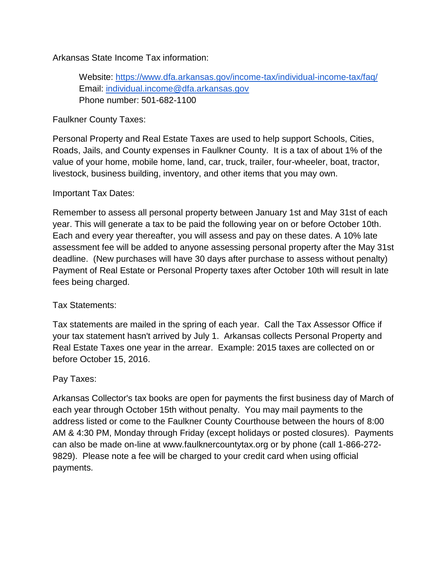Arkansas State Income Tax information:

Website:<https://www.dfa.arkansas.gov/income-tax/individual-income-tax/faq/> Email: [individual.income@dfa.arkansas.gov](mailto:individual.income@dfa.arkansas.gov) Phone number: 501-682-1100

Faulkner County Taxes:

Personal Property and Real Estate Taxes are used to help support Schools, Cities, Roads, Jails, and County expenses in Faulkner County. It is a tax of about 1% of the value of your home, mobile home, land, car, truck, trailer, four-wheeler, boat, tractor, livestock, business building, inventory, and other items that you may own.

Important Tax Dates:

Remember to assess all personal property between January 1st and May 31st of each year. This will generate a tax to be paid the following year on or before October 10th. Each and every year thereafter, you will assess and pay on these dates. A 10% late assessment fee will be added to anyone assessing personal property after the May 31st deadline. (New purchases will have 30 days after purchase to assess without penalty) Payment of Real Estate or Personal Property taxes after October 10th will result in late fees being charged.

Tax Statements:

Tax statements are mailed in the spring of each year. Call the Tax Assessor Office if your tax statement hasn't arrived by July 1. Arkansas collects Personal Property and Real Estate Taxes one year in the arrear. Example: 2015 taxes are collected on or before October 15, 2016.

Pay Taxes:

Arkansas Collector's tax books are open for payments the first business day of March of each year through October 15th without penalty. You may mail payments to the address listed or come to the Faulkner County Courthouse between the hours of 8:00 AM & 4:30 PM, Monday through Friday (except holidays or posted closures). Payments can also be made on-line at www.faulknercountytax.org or by phone (call 1-866-272- 9829). Please note a fee will be charged to your credit card when using official payments.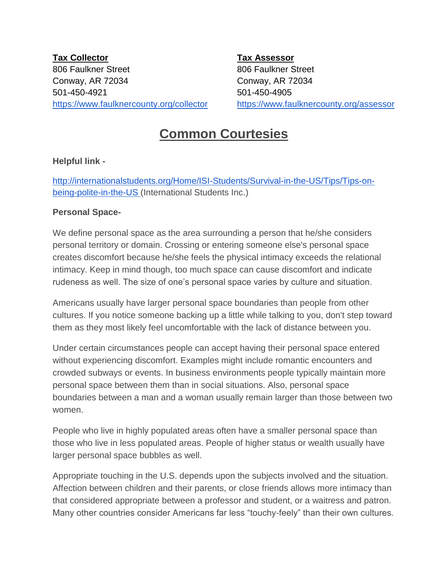**Tax Collector Tax Assessor** 806 Faulkner Street 806 Faulkner Street Conway, AR 72034 Conway, AR 72034 501-450-4921 501-450-4905

<https://www.faulknercounty.org/collector> <https://www.faulknercounty.org/assessor>

## **Common Courtesies**

### **Helpful link -**

[http://internationalstudents.org/Home/ISI-Students/Survival-in-the-US/Tips/Tips-on](http://internationalstudents.org/Home/ISI-Students/Survival-in-the-US/Tips/Tips-on-being-polite-in-the-US)[being-polite-in-the-US \(](http://internationalstudents.org/Home/ISI-Students/Survival-in-the-US/Tips/Tips-on-being-polite-in-the-US)International Students Inc.)

#### **Personal Space-**

We define personal space as the area surrounding a person that he/she considers personal territory or domain. Crossing or entering someone else's personal space creates discomfort because he/she feels the physical intimacy exceeds the relational intimacy. Keep in mind though, too much space can cause discomfort and indicate rudeness as well. The size of one's personal space varies by culture and situation.

Americans usually have larger personal space boundaries than people from other cultures. If you notice someone backing up a little while talking to you, don't step toward them as they most likely feel uncomfortable with the lack of distance between you.

Under certain circumstances people can accept having their personal space entered without experiencing discomfort. Examples might include romantic encounters and crowded subways or events. In business environments people typically maintain more personal space between them than in social situations. Also, personal space boundaries between a man and a woman usually remain larger than those between two women.

People who live in highly populated areas often have a smaller personal space than those who live in less populated areas. People of higher status or wealth usually have larger personal space bubbles as well.

Appropriate touching in the U.S. depends upon the subjects involved and the situation. Affection between children and their parents, or close friends allows more intimacy than that considered appropriate between a professor and student, or a waitress and patron. Many other countries consider Americans far less "touchy-feely" than their own cultures.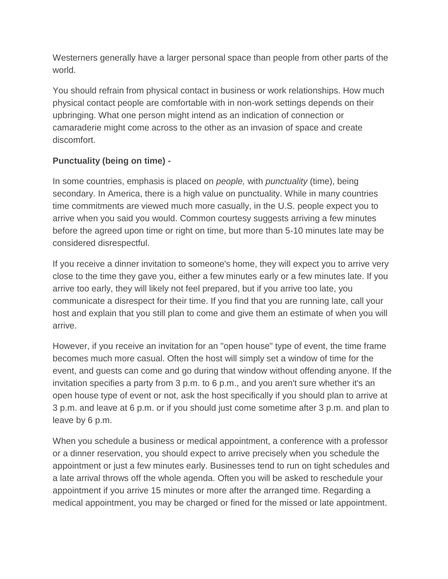Westerners generally have a larger personal space than people from other parts of the world.

You should refrain from physical contact in business or work relationships. How much physical contact people are comfortable with in non-work settings depends on their upbringing. What one person might intend as an indication of connection or camaraderie might come across to the other as an invasion of space and create discomfort.

## **Punctuality (being on time) -**

In some countries, emphasis is placed on *people,* with *punctuality* (time), being secondary. In America, there is a high value on punctuality. While in many countries time commitments are viewed much more casually, in the U.S. people expect you to arrive when you said you would. Common courtesy suggests arriving a few minutes before the agreed upon time or right on time, but more than 5-10 minutes late may be considered disrespectful.

If you receive a dinner invitation to someone's home, they will expect you to arrive very close to the time they gave you, either a few minutes early or a few minutes late. If you arrive too early, they will likely not feel prepared, but if you arrive too late, you communicate a disrespect for their time. If you find that you are running late, call your host and explain that you still plan to come and give them an estimate of when you will arrive.

However, if you receive an invitation for an "open house" type of event, the time frame becomes much more casual. Often the host will simply set a window of time for the event, and guests can come and go during that window without offending anyone. If the invitation specifies a party from 3 p.m. to 6 p.m., and you aren't sure whether it's an open house type of event or not, ask the host specifically if you should plan to arrive at 3 p.m. and leave at 6 p.m. or if you should just come sometime after 3 p.m. and plan to leave by 6 p.m.

When you schedule a business or medical appointment, a conference with a professor or a dinner reservation, you should expect to arrive precisely when you schedule the appointment or just a few minutes early. Businesses tend to run on tight schedules and a late arrival throws off the whole agenda. Often you will be asked to reschedule your appointment if you arrive 15 minutes or more after the arranged time. Regarding a medical appointment, you may be charged or fined for the missed or late appointment.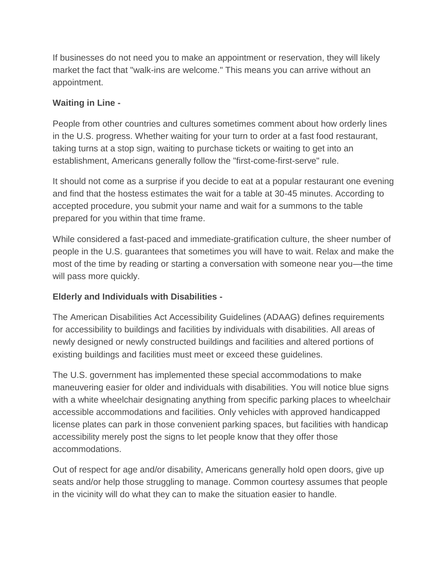If businesses do not need you to make an appointment or reservation, they will likely market the fact that "walk-ins are welcome." This means you can arrive without an appointment.

## **Waiting in Line -**

People from other countries and cultures sometimes comment about how orderly lines in the U.S. progress. Whether waiting for your turn to order at a fast food restaurant, taking turns at a stop sign, waiting to purchase tickets or waiting to get into an establishment, Americans generally follow the "first-come-first-serve" rule.

It should not come as a surprise if you decide to eat at a popular restaurant one evening and find that the hostess estimates the wait for a table at 30-45 minutes. According to accepted procedure, you submit your name and wait for a summons to the table prepared for you within that time frame.

While considered a fast-paced and immediate-gratification culture, the sheer number of people in the U.S. guarantees that sometimes you will have to wait. Relax and make the most of the time by reading or starting a conversation with someone near you—the time will pass more quickly.

## **Elderly and Individuals with Disabilities -**

The American Disabilities Act Accessibility Guidelines (ADAAG) defines requirements for accessibility to buildings and facilities by individuals with disabilities. All areas of newly designed or newly constructed buildings and facilities and altered portions of existing buildings and facilities must meet or exceed these guidelines.

The U.S. government has implemented these special accommodations to make maneuvering easier for older and individuals with disabilities. You will notice blue signs with a white wheelchair designating anything from specific parking places to wheelchair accessible accommodations and facilities. Only vehicles with approved handicapped license plates can park in those convenient parking spaces, but facilities with handicap accessibility merely post the signs to let people know that they offer those accommodations.

Out of respect for age and/or disability, Americans generally hold open doors, give up seats and/or help those struggling to manage. Common courtesy assumes that people in the vicinity will do what they can to make the situation easier to handle.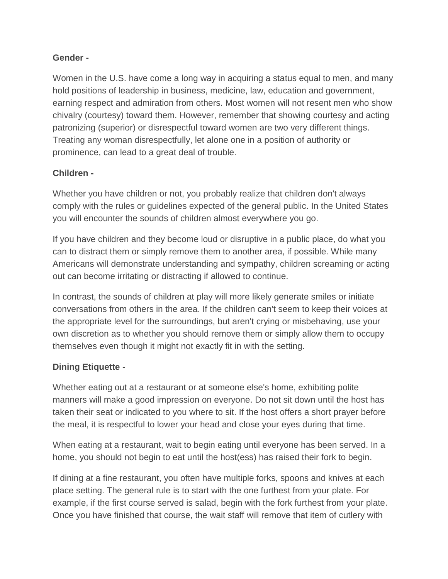#### **Gender -**

Women in the U.S. have come a long way in acquiring a status equal to men, and many hold positions of leadership in business, medicine, law, education and government, earning respect and admiration from others. Most women will not resent men who show chivalry (courtesy) toward them. However, remember that showing courtesy and acting patronizing (superior) or disrespectful toward women are two very different things. Treating any woman disrespectfully, let alone one in a position of authority or prominence, can lead to a great deal of trouble.

## **Children -**

Whether you have children or not, you probably realize that children don't always comply with the rules or guidelines expected of the general public. In the United States you will encounter the sounds of children almost everywhere you go.

If you have children and they become loud or disruptive in a public place, do what you can to distract them or simply remove them to another area, if possible. While many Americans will demonstrate understanding and sympathy, children screaming or acting out can become irritating or distracting if allowed to continue.

In contrast, the sounds of children at play will more likely generate smiles or initiate conversations from others in the area. If the children can't seem to keep their voices at the appropriate level for the surroundings, but aren't crying or misbehaving, use your own discretion as to whether you should remove them or simply allow them to occupy themselves even though it might not exactly fit in with the setting.

## **Dining Etiquette -**

Whether eating out at a restaurant or at someone else's home, exhibiting polite manners will make a good impression on everyone. Do not sit down until the host has taken their seat or indicated to you where to sit. If the host offers a short prayer before the meal, it is respectful to lower your head and close your eyes during that time.

When eating at a restaurant, wait to begin eating until everyone has been served. In a home, you should not begin to eat until the host(ess) has raised their fork to begin.

If dining at a fine restaurant, you often have multiple forks, spoons and knives at each place setting. The general rule is to start with the one furthest from your plate. For example, if the first course served is salad, begin with the fork furthest from your plate. Once you have finished that course, the wait staff will remove that item of cutlery with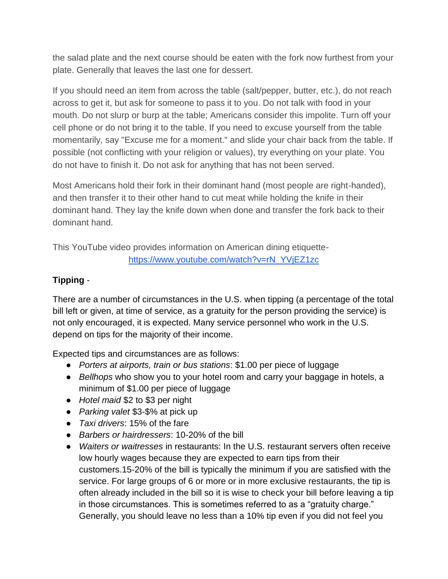the salad plate and the next course should be eaten with the fork now furthest from your plate. Generally that leaves the last one for dessert.

If you should need an item from across the table (salt/pepper, butter, etc.), do not reach across to get it, but ask for someone to pass it to you. Do not talk with food in your mouth. Do not slurp or burp at the table; Americans consider this impolite. Turn off your cell phone or do not bring it to the table. If you need to excuse yourself from the table momentarily, say "Excuse me for a moment." and slide your chair back from the table. If possible (not conflicting with your religion or values), try everything on your plate. You do not have to finish it. Do not ask for anything that has not been served.

Most Americans hold their fork in their dominant hand (most people are right-handed), and then transfer it to their other hand to cut meat while holding the knife in their dominant hand. They lay the knife down when done and transfer the fork back to their dominant hand.

This YouTube video provides information on American dining etiquette[https://www.youtube.com/watch?v=rN\\_YVjEZ1zc](https://www.youtube.com/watch?v=rN_YVjEZ1zc)

## **Tipping** -

There are a number of circumstances in the U.S. when tipping (a percentage of the total bill left or given, at time of service, as a gratuity for the person providing the service) is not only encouraged, it is expected. Many service personnel who work in the U.S. depend on tips for the majority of their income.

Expected tips and circumstances are as follows:

- *Porters at airports, train or bus stations*: \$1.00 per piece of luggage
- *Bellhops* who show you to your hotel room and carry your baggage in hotels, a minimum of \$1.00 per piece of luggage
- *Hotel maid* \$2 to \$3 per night
- *Parking valet* \$3-\$% at pick up
- *Taxi drivers*: 15% of the fare
- *Barbers or hairdressers*: 10-20% of the bill
- *Waiters or waitresses* in restaurants: In the U.S. restaurant servers often receive low hourly wages because they are expected to earn tips from their customers.15-20% of the bill is typically the minimum if you are satisfied with the service. For large groups of 6 or more or in more exclusive restaurants, the tip is often already included in the bill so it is wise to check your bill before leaving a tip in those circumstances. This is sometimes referred to as a "gratuity charge." Generally, you should leave no less than a 10% tip even if you did not feel you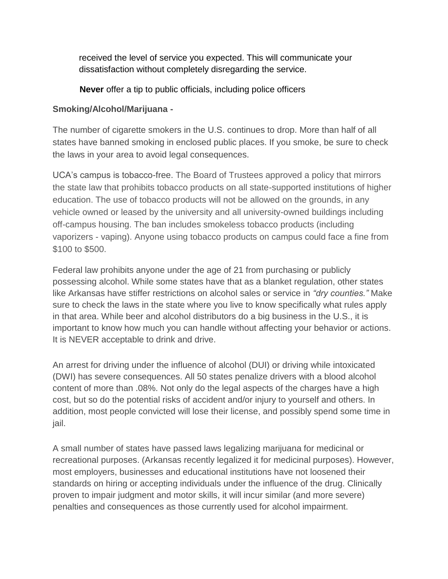received the level of service you expected. This will communicate your dissatisfaction without completely disregarding the service.

**Never** offer a tip to public officials, including police officers

#### **Smoking/Alcohol/Marijuana -**

The number of cigarette smokers in the U.S. continues to drop. More than half of all states have banned smoking in enclosed public places. If you smoke, be sure to check the laws in your area to avoid legal consequences.

UCA's campus is tobacco-free. The Board of Trustees approved a policy that mirrors the state law that prohibits tobacco products on all state-supported institutions of higher education. The use of tobacco products will not be allowed on the grounds, in any vehicle owned or leased by the university and all university-owned buildings including off-campus housing. The ban includes smokeless tobacco products (including vaporizers - vaping). Anyone using tobacco products on campus could face a fine from \$100 to \$500.

Federal law prohibits anyone under the age of 21 from purchasing or publicly possessing alcohol. While some states have that as a blanket regulation, other states like Arkansas have stiffer restrictions on alcohol sales or service in *"dry counties."* Make sure to check the laws in the state where you live to know specifically what rules apply in that area. While beer and alcohol distributors do a big business in the U.S., it is important to know how much you can handle without affecting your behavior or actions. It is NEVER acceptable to drink and drive.

An arrest for driving under the influence of alcohol (DUI) or driving while intoxicated (DWI) has severe consequences. All 50 states penalize drivers with a blood alcohol content of more than .08%. Not only do the legal aspects of the charges have a high cost, but so do the potential risks of accident and/or injury to yourself and others. In addition, most people convicted will lose their license, and possibly spend some time in jail.

A small number of states have passed laws legalizing marijuana for medicinal or recreational purposes. (Arkansas recently legalized it for medicinal purposes). However, most employers, businesses and educational institutions have not loosened their standards on hiring or accepting individuals under the influence of the drug. Clinically proven to impair judgment and motor skills, it will incur similar (and more severe) penalties and consequences as those currently used for alcohol impairment.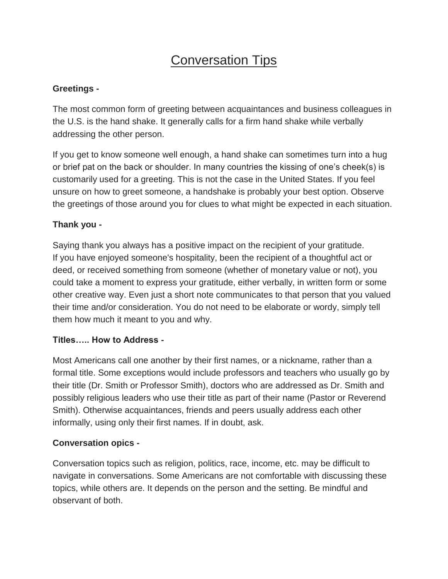## **Conversation Tips**

### **Greetings -**

The most common form of greeting between acquaintances and business colleagues in the U.S. is the hand shake. It generally calls for a firm hand shake while verbally addressing the other person.

If you get to know someone well enough, a hand shake can sometimes turn into a hug or brief pat on the back or shoulder. In many countries the kissing of one's cheek(s) is customarily used for a greeting. This is not the case in the United States. If you feel unsure on how to greet someone, a handshake is probably your best option. Observe the greetings of those around you for clues to what might be expected in each situation.

## **Thank you -**

Saying thank you always has a positive impact on the recipient of your gratitude. If you have enjoyed someone's hospitality, been the recipient of a thoughtful act or deed, or received something from someone (whether of monetary value or not), you could take a moment to express your gratitude, either verbally, in written form or some other creative way. Even just a short note communicates to that person that you valued their time and/or consideration. You do not need to be elaborate or wordy, simply tell them how much it meant to you and why.

#### **Titles….. How to Address -**

Most Americans call one another by their first names, or a nickname, rather than a formal title. Some exceptions would include professors and teachers who usually go by their title (Dr. Smith or Professor Smith), doctors who are addressed as Dr. Smith and possibly religious leaders who use their title as part of their name (Pastor or Reverend Smith). Otherwise acquaintances, friends and peers usually address each other informally, using only their first names. If in doubt, ask.

#### **Conversation opics -**

Conversation topics such as religion, politics, race, income, etc. may be difficult to navigate in conversations. Some Americans are not comfortable with discussing these topics, while others are. It depends on the person and the setting. Be mindful and observant of both.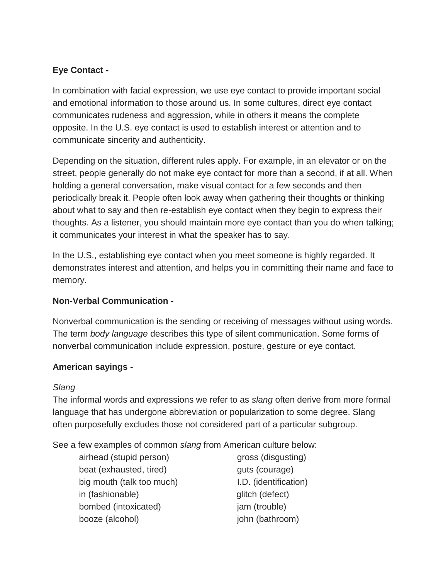## **Eye Contact -**

In combination with facial expression, we use eye contact to provide important social and emotional information to those around us. In some cultures, direct eye contact communicates rudeness and aggression, while in others it means the complete opposite. In the U.S. eye contact is used to establish interest or attention and to communicate sincerity and authenticity.

Depending on the situation, different rules apply. For example, in an elevator or on the street, people generally do not make eye contact for more than a second, if at all. When holding a general conversation, make visual contact for a few seconds and then periodically break it. People often look away when gathering their thoughts or thinking about what to say and then re-establish eye contact when they begin to express their thoughts. As a listener, you should maintain more eye contact than you do when talking; it communicates your interest in what the speaker has to say.

In the U.S., establishing eye contact when you meet someone is highly regarded. It demonstrates interest and attention, and helps you in committing their name and face to memory.

## **Non-Verbal Communication -**

Nonverbal communication is the sending or receiving of messages without using words. The term *body language* describes this type of silent communication. Some forms of nonverbal communication include expression, posture, gesture or eye contact.

## **American sayings -**

## *Slang*

The informal words and expressions we refer to as *slang* often derive from more formal language that has undergone abbreviation or popularization to some degree. Slang often purposefully excludes those not considered part of a particular subgroup.

See a few examples of common *slang* from American culture below:

airhead (stupid person) gross (disgusting) beat (exhausted, tired) guts (courage) big mouth (talk too much) **I.D.** (identification) in (fashionable) glitch (defect) bombed (intoxicated) iam (trouble) booze (alcohol) john (bathroom)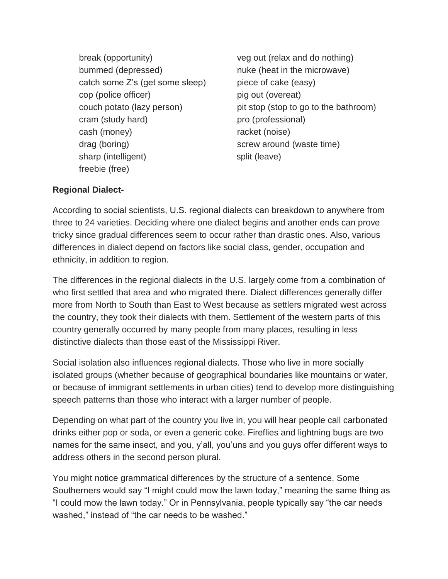break (opportunity) veg out (relax and do nothing) bummed (depressed) https://www.muke (heat in the microwave) catch some Z's (get some sleep) piece of cake (easy) cop (police officer) pig out (overeat) cram (study hard) eram (professional) cash (money) racket (noise) drag (boring) screw around (waste time) sharp (intelligent) split (leave) freebie (free)

couch potato (lazy person) pit stop (stop to go to the bathroom)

### **Regional Dialect-**

According to social scientists, U.S. regional dialects can breakdown to anywhere from three to 24 varieties. Deciding where one dialect begins and another ends can prove tricky since gradual differences seem to occur rather than drastic ones. Also, various differences in dialect depend on factors like social class, gender, occupation and ethnicity, in addition to region.

The differences in the regional dialects in the U.S. largely come from a combination of who first settled that area and who migrated there. Dialect differences generally differ more from North to South than East to West because as settlers migrated west across the country, they took their dialects with them. Settlement of the western parts of this country generally occurred by many people from many places, resulting in less distinctive dialects than those east of the Mississippi River.

Social isolation also influences regional dialects. Those who live in more socially isolated groups (whether because of geographical boundaries like mountains or water, or because of immigrant settlements in urban cities) tend to develop more distinguishing speech patterns than those who interact with a larger number of people.

Depending on what part of the country you live in, you will hear people call carbonated drinks either pop or soda, or even a generic coke. Fireflies and lightning bugs are two names for the same insect, and you, y'all, you'uns and you guys offer different ways to address others in the second person plural.

You might notice grammatical differences by the structure of a sentence. Some Southerners would say "I might could mow the lawn today," meaning the same thing as "I could mow the lawn today." Or in Pennsylvania, people typically say "the car needs washed," instead of "the car needs to be washed."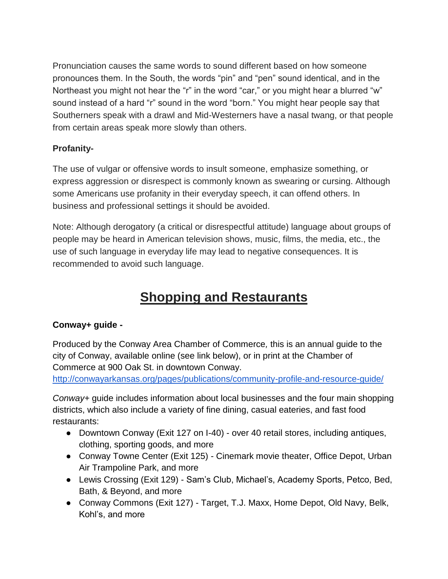Pronunciation causes the same words to sound different based on how someone pronounces them. In the South, the words "pin" and "pen" sound identical, and in the Northeast you might not hear the "r" in the word "car," or you might hear a blurred "w" sound instead of a hard "r" sound in the word "born." You might hear people say that Southerners speak with a drawl and Mid-Westerners have a nasal twang, or that people from certain areas speak more slowly than others.

## **Profanity-**

The use of vulgar or offensive words to insult someone, emphasize something, or express aggression or disrespect is commonly known as swearing or cursing. Although some Americans use profanity in their everyday speech, it can offend others. In business and professional settings it should be avoided.

Note: Although derogatory (a critical or disrespectful attitude) language about groups of people may be heard in American television shows, music, films, the media, etc., the use of such language in everyday life may lead to negative consequences. It is recommended to avoid such language.

## **Shopping and Restaurants**

## **Conway+ guide -**

Produced by the Conway Area Chamber of Commerce*,* this is an annual guide to the city of Conway, available online (see link below), or in print at the Chamber of Commerce at 900 Oak St. in downtown Conway.

<http://conwayarkansas.org/pages/publications/community-profile-and-resource-guide/>

*[Conway+](http://conwayarkansas.org/pages/publications/community-profile-and-resource-guide/)* guide includes information about local businesses and the four main shopping districts, which also include a variety of fine dining, casual eateries, and fast food restaurants:

- Downtown Conway (Exit 127 on I-40) over 40 retail stores, including antiques, clothing, sporting goods, and more
- Conway Towne Center (Exit 125) Cinemark movie theater, Office Depot, Urban Air Trampoline Park, and more
- Lewis Crossing (Exit 129) Sam's Club, Michael's, Academy Sports, Petco, Bed, Bath, & Beyond, and more
- Conway Commons (Exit 127) Target, T.J. Maxx, Home Depot, Old Navy, Belk, Kohl's, and more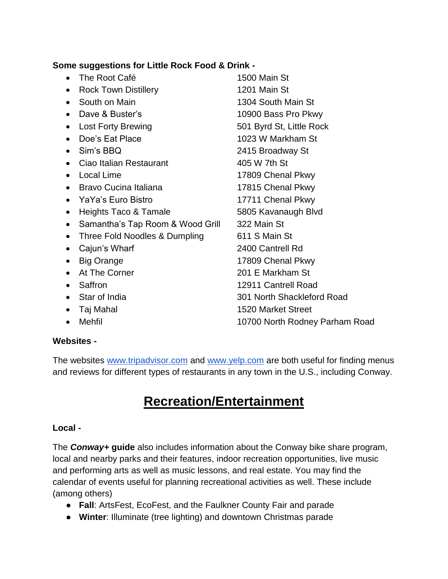#### **Some suggestions for Little Rock Food & Drink -**

- The Root Café 1500 Main St • Rock Town Distillery 1201 Main St • South on Main 1304 South Main St • Dave & Buster's 10900 Bass Pro Pkwy • Lost Forty Brewing 601 Byrd St, Little Rock • Doe's Eat Place 1023 W Markham St Sim's BBQ 2415 Broadway St • Ciao Italian Restaurant 405 W 7th St • Local Lime 17809 Chenal Pkwy • Bravo Cucina Italiana 17815 Chenal Pkwy • YaYa's Euro Bistro 17711 Chenal Pkwy • Heights Taco & Tamale 5805 Kavanaugh Blvd • Samantha's Tap Room & Wood Grill 322 Main St • Three Fold Noodles & Dumpling 611 S Main St • Cajun's Wharf 2400 Cantrell Rd • Big Orange 17809 Chenal Pkwy • At The Corner 201 E Markham St • Saffron 12911 Cantrell Road Star of India 301 North Shackleford Road • Taj Mahal 1520 Market Street
- Mehfil **10700 North Rodney Parham Road**

#### **Websites -**

The websites [www.tripadvisor.com](http://www.tripadvisor.com/) and [www.yelp.com](http://www.yelp.com/) are both useful for finding menus and reviews for different types of restaurants in any town in the U.S., including Conway.

## **Recreation/Entertainment**

#### **Local -**

The *Conway+* **guide** also includes information about the Conway bike share program, local and nearby parks and their features, indoor recreation opportunities, live music and performing arts as well as music lessons, and real estate. You may find the calendar of events useful for planning recreational activities as well. These include (among others)

- **Fall**: ArtsFest, EcoFest, and the Faulkner County Fair and parade
- **Winter**: Illuminate (tree lighting) and downtown Christmas parade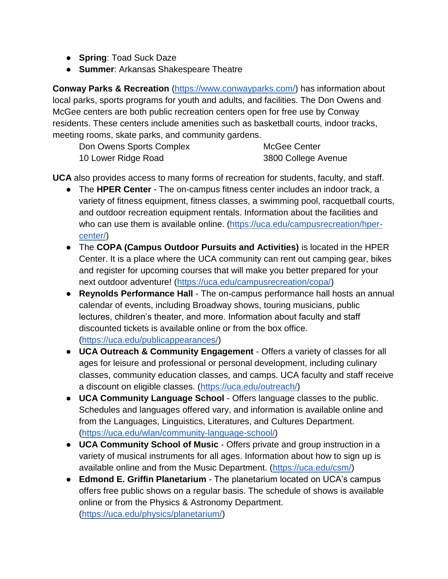- **Spring**: Toad Suck Daze
- **Summer**: Arkansas Shakespeare Theatre

**Conway Parks & Recreation** [\(https://www.conwayparks.com/\)](https://www.conwayparks.com/) has information about local parks, sports programs for youth and adults, and facilities. The Don Owens and McGee centers are both public recreation centers open for free use by Conway residents. These centers include amenities such as basketball courts, indoor tracks, meeting rooms, skate parks, and community gardens.

| Don Owens Sports Complex | McGee Center        |
|--------------------------|---------------------|
| 10 Lower Ridge Road      | 3800 College Avenue |

**UCA** also provides access to many forms of recreation for students, faculty, and staff.

- [The](https://uca.edu/campusrecreation/hper-center/) **HPER Center** The on-campus fitness center includes an indoor track, a variety of fitness equipment, fitness classes, a swimming pool, racquetball courts, and outdoor recreation equipment rentals. Information about the facilities and who can use them is available online. [\(https://uca.edu/campusrecreation/hper](https://uca.edu/campusrecreation/hper-center/)[center/\)](https://uca.edu/campusrecreation/hper-center/)
- The **COPA (Campus Outdoor Pursuits and Activities)** is located in the HPER Center. It is a place where the UCA community can rent out camping gear, bikes and register for upcoming courses that will make you better prepared for your next outdoor adventure! [\(https://uca.edu/campusrecreation/copa/\)](https://uca.edu/campusrecreation/copa/)
- **Reynolds Performance Hall** The on-campus performance hall hosts an annual calendar of events, including Broadway shows, touring musicians, public lectures, children's theater, and more. Information about faculty and staff discounted tickets is available online or from the box office. [\(https://uca.edu/publicappearances/\)](https://uca.edu/publicappearances/))
- **UCA Outreach & Community Engagement**  Offers a variety of classes for all ages for leisure and professional or personal development, including culinary classes, community education classes, and camps. UCA faculty and staff receive a discount on eligible classes. [\(https://uca.edu/outreach/\)](https://uca.edu/outreach/)
- **UCA Community Language School**  Offers language classes to the public. Schedules and languages offered vary, and information is available online and from the Languages, Linguistics, Literatures, and Cultures Department. [\(https://uca.edu/wlan/community-language-school/\)](https://uca.edu/wlan/community-language-school/)
- **UCA Community School of Music** Offers private and group instruction in a variety of musical instruments for all ages. Information about how to sign up is available online and from the Music Department. [\(https://uca.edu/csm/\)](https://uca.edu/csm/)
- **Edmond E. Griffin Planetarium** The planetarium located on UCA's campus offers free public shows on a regular basis. The schedule of shows is available online or from the Physics & Astronomy Department. [\(https://uca.edu/physics/planetarium/\)](https://uca.edu/physics/planetarium/)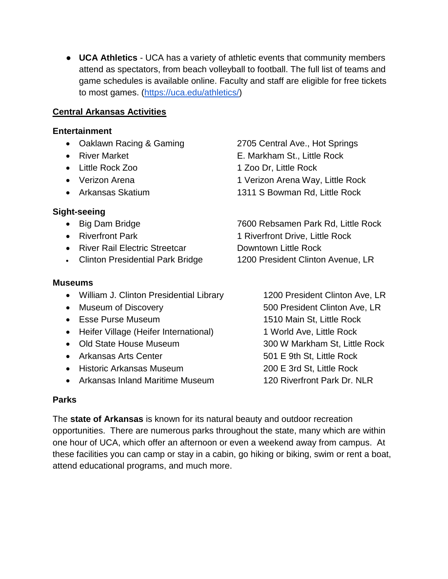● **UCA Athletics** - UCA has a variety of athletic events that community members attend as spectators, from beach volleyball to football. The full list of teams and game schedules is available online. Faculty and staff are eligible for free tickets to most games. [\(https://uca.edu/athletics/\)](https://uca.edu/athletics/)

#### **Central Arkansas Activities**

#### **Entertainment**

- 
- 
- 
- 
- 

### **Sight-seeing**

- 
- 
- River Rail Electric Streetcar **Downtown Little Rock**
- 

#### **Museums**

- William J. Clinton Presidential Library 1200 President Clinton Ave, LR
- 
- 
- Heifer Village (Heifer International) 1 World Ave, Little Rock
- 
- Arkansas Arts Center 501 E 9th St, Little Rock
- Historic Arkansas Museum 200 E 3rd St, Little Rock
- Arkansas Inland Maritime Museum 120 Riverfront Park Dr. NLR

#### **Parks**

The **state of Arkansas** is known for its natural beauty and outdoor recreation opportunities. There are numerous parks throughout the state, many which are within one hour of UCA, which offer an afternoon or even a weekend away from campus. At these facilities you can camp or stay in a cabin, go hiking or biking, swim or rent a boat, attend educational programs, and much more.

• Oaklawn Racing & Gaming 2705 Central Ave., Hot Springs • River Market **E. Markham St., Little Rock** • Little Rock Zoo 1 Zoo Dr, Little Rock • Verizon Arena 1 Verizon Arena Way, Little Rock • Arkansas Skatium 1311 S Bowman Rd, Little Rock

• Big Dam Bridge The Rock 7600 Rebsamen Park Rd, Little Rock • Riverfront Park 1 Riverfront Drive, Little Rock • Clinton Presidential Park Bridge 1200 President Clinton Avenue, LR

• Museum of Discovery **600 Fresident Clinton Ave, LR**  Esse Purse Museum 1510 Main St, Little Rock • Old State House Museum 300 W Markham St, Little Rock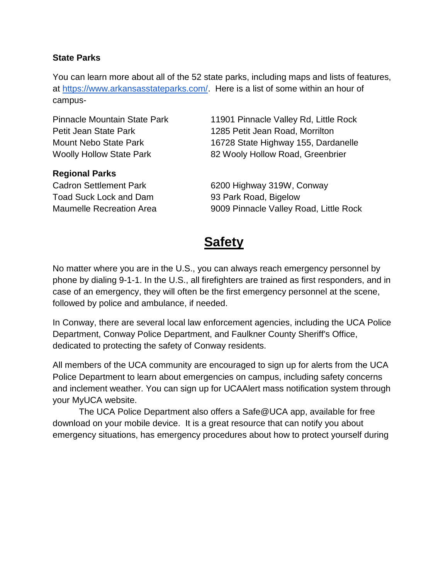#### **State Parks**

You can learn more about all of the 52 state parks, including maps and lists of features, at [https://www.arkansasstateparks.com/.](https://www.arkansasstateparks.com/) Here is a list of some within an hour of campus-

#### **Regional Parks**

Toad Suck Lock and Dam 93 Park Road, Bigelow

Pinnacle Mountain State Park 11901 Pinnacle Valley Rd, Little Rock Petit Jean State Park 1285 Petit Jean Road, Morrilton Mount Nebo State Park 16728 State Highway 155, Dardanelle Woolly Hollow State Park 82 Wooly Hollow Road, Greenbrier

Cadron Settlement Park 6200 Highway 319W, Conway Maumelle Recreation Area 9009 Pinnacle Valley Road, Little Rock

## **Safety**

No matter where you are in the U.S., you can always reach emergency personnel by phone by dialing 9-1-1. In the U.S., all firefighters are trained as first responders, and in case of an emergency, they will often be the first emergency personnel at the scene, followed by police and ambulance, if needed.

In Conway, there are several local law enforcement agencies, including the UCA Police Department, Conway Police Department, and Faulkner County Sheriff's Office, dedicated to protecting the safety of Conway residents.

All members of the UCA community are encouraged to sign up for alerts from the UCA Police Department to learn about emergencies on campus, including safety concerns and inclement weather. You can sign up for UCAAlert mass notification system through your MyUCA website.

The UCA Police Department also offers a Safe@UCA app, available for free download on your mobile device. It is a great resource that can notify you about emergency situations, has emergency procedures about how to protect yourself during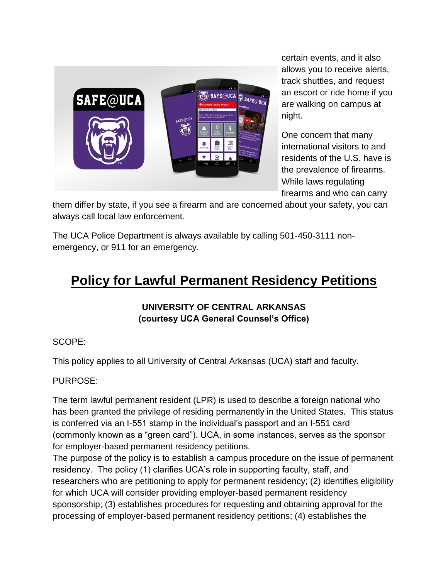

certain events, and it also allows you to receive alerts, track shuttles, and request an escort or ride home if you are walking on campus at night.

One concern that many international visitors to and residents of the U.S. have is the prevalence of firearms. While laws regulating firearms and who can carry

them differ by state, if you see a firearm and are concerned about your safety, you can always call local law enforcement.

The UCA Police Department is always available by calling 501-450-3111 nonemergency, or 911 for an emergency.

## **Policy for Lawful Permanent Residency Petitions**

## **UNIVERSITY OF CENTRAL ARKANSAS (courtesy UCA General Counsel's Office)**

## SCOPE:

This policy applies to all University of Central Arkansas (UCA) staff and faculty.

## PURPOSE:

The term lawful permanent resident (LPR) is used to describe a foreign national who has been granted the privilege of residing permanently in the United States. This status is conferred via an I-551 stamp in the individual's passport and an I-551 card (commonly known as a "green card"). UCA, in some instances, serves as the sponsor for employer-based permanent residency petitions.

The purpose of the policy is to establish a campus procedure on the issue of permanent residency. The policy (1) clarifies UCA's role in supporting faculty, staff, and researchers who are petitioning to apply for permanent residency; (2) identifies eligibility for which UCA will consider providing employer-based permanent residency sponsorship; (3) establishes procedures for requesting and obtaining approval for the processing of employer-based permanent residency petitions; (4) establishes the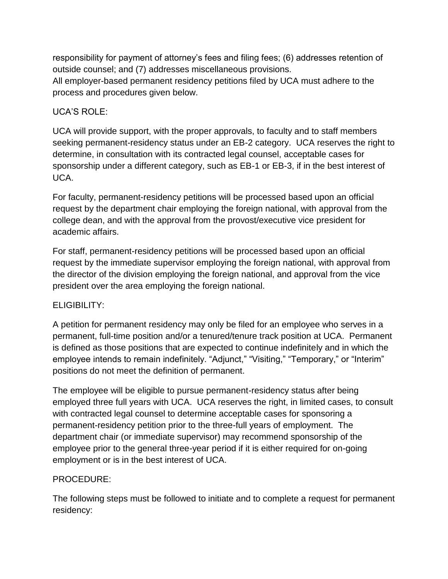responsibility for payment of attorney's fees and filing fees; (6) addresses retention of outside counsel; and (7) addresses miscellaneous provisions. All employer-based permanent residency petitions filed by UCA must adhere to the process and procedures given below.

## UCA'S ROLE:

UCA will provide support, with the proper approvals, to faculty and to staff members seeking permanent-residency status under an EB-2 category. UCA reserves the right to determine, in consultation with its contracted legal counsel, acceptable cases for sponsorship under a different category, such as EB-1 or EB-3, if in the best interest of UCA.

For faculty, permanent-residency petitions will be processed based upon an official request by the department chair employing the foreign national, with approval from the college dean, and with the approval from the provost/executive vice president for academic affairs.

For staff, permanent-residency petitions will be processed based upon an official request by the immediate supervisor employing the foreign national, with approval from the director of the division employing the foreign national, and approval from the vice president over the area employing the foreign national.

#### ELIGIBILITY:

A petition for permanent residency may only be filed for an employee who serves in a permanent, full-time position and/or a tenured/tenure track position at UCA. Permanent is defined as those positions that are expected to continue indefinitely and in which the employee intends to remain indefinitely. "Adjunct," "Visiting," "Temporary," or "Interim" positions do not meet the definition of permanent.

The employee will be eligible to pursue permanent-residency status after being employed three full years with UCA. UCA reserves the right, in limited cases, to consult with contracted legal counsel to determine acceptable cases for sponsoring a permanent-residency petition prior to the three-full years of employment. The department chair (or immediate supervisor) may recommend sponsorship of the employee prior to the general three-year period if it is either required for on-going employment or is in the best interest of UCA.

## PROCEDURE:

The following steps must be followed to initiate and to complete a request for permanent residency: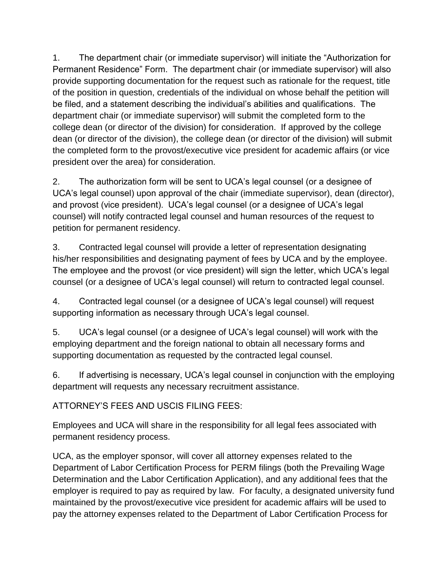1. The department chair (or immediate supervisor) will initiate the "Authorization for Permanent Residence" Form. The department chair (or immediate supervisor) will also provide supporting documentation for the request such as rationale for the request, title of the position in question, credentials of the individual on whose behalf the petition will be filed, and a statement describing the individual's abilities and qualifications. The department chair (or immediate supervisor) will submit the completed form to the college dean (or director of the division) for consideration. If approved by the college dean (or director of the division), the college dean (or director of the division) will submit the completed form to the provost/executive vice president for academic affairs (or vice president over the area) for consideration.

2. The authorization form will be sent to UCA's legal counsel (or a designee of UCA's legal counsel) upon approval of the chair (immediate supervisor), dean (director), and provost (vice president). UCA's legal counsel (or a designee of UCA's legal counsel) will notify contracted legal counsel and human resources of the request to petition for permanent residency.

3. Contracted legal counsel will provide a letter of representation designating his/her responsibilities and designating payment of fees by UCA and by the employee. The employee and the provost (or vice president) will sign the letter, which UCA's legal counsel (or a designee of UCA's legal counsel) will return to contracted legal counsel.

4. Contracted legal counsel (or a designee of UCA's legal counsel) will request supporting information as necessary through UCA's legal counsel.

5. UCA's legal counsel (or a designee of UCA's legal counsel) will work with the employing department and the foreign national to obtain all necessary forms and supporting documentation as requested by the contracted legal counsel.

6. If advertising is necessary, UCA's legal counsel in conjunction with the employing department will requests any necessary recruitment assistance.

ATTORNEY'S FEES AND USCIS FILING FEES:

Employees and UCA will share in the responsibility for all legal fees associated with permanent residency process.

UCA, as the employer sponsor, will cover all attorney expenses related to the Department of Labor Certification Process for PERM filings (both the Prevailing Wage Determination and the Labor Certification Application), and any additional fees that the employer is required to pay as required by law. For faculty, a designated university fund maintained by the provost/executive vice president for academic affairs will be used to pay the attorney expenses related to the Department of Labor Certification Process for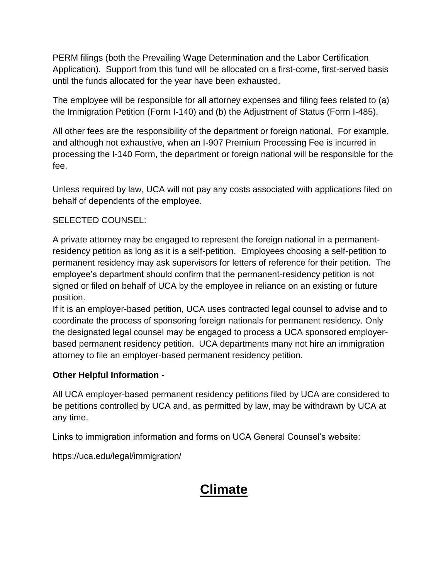PERM filings (both the Prevailing Wage Determination and the Labor Certification Application). Support from this fund will be allocated on a first-come, first-served basis until the funds allocated for the year have been exhausted.

The employee will be responsible for all attorney expenses and filing fees related to (a) the Immigration Petition (Form I-140) and (b) the Adjustment of Status (Form I-485).

All other fees are the responsibility of the department or foreign national. For example, and although not exhaustive, when an I-907 Premium Processing Fee is incurred in processing the I-140 Form, the department or foreign national will be responsible for the fee.

Unless required by law, UCA will not pay any costs associated with applications filed on behalf of dependents of the employee.

### SELECTED COUNSEL:

A private attorney may be engaged to represent the foreign national in a permanentresidency petition as long as it is a self-petition. Employees choosing a self-petition to permanent residency may ask supervisors for letters of reference for their petition. The employee's department should confirm that the permanent-residency petition is not signed or filed on behalf of UCA by the employee in reliance on an existing or future position.

If it is an employer-based petition, UCA uses contracted legal counsel to advise and to coordinate the process of sponsoring foreign nationals for permanent residency. Only the designated legal counsel may be engaged to process a UCA sponsored employerbased permanent residency petition. UCA departments many not hire an immigration attorney to file an employer-based permanent residency petition.

#### **Other Helpful Information -**

All UCA employer-based permanent residency petitions filed by UCA are considered to be petitions controlled by UCA and, as permitted by law, may be withdrawn by UCA at any time.

Links to immigration information and forms on UCA General Counsel's website:

https://uca.edu/legal/immigration/

## **Climate**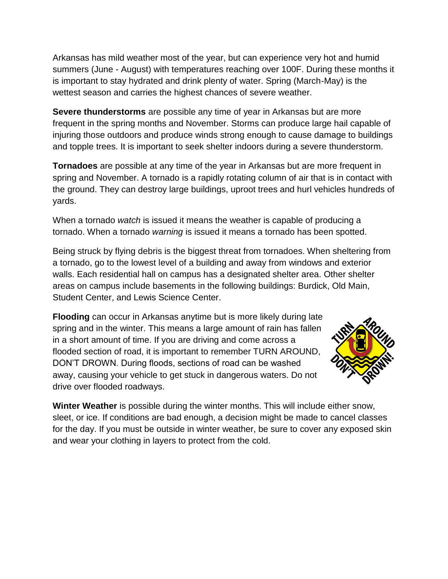Arkansas has mild weather most of the year, but can experience very hot and humid summers (June - August) with temperatures reaching over 100F. During these months it is important to stay hydrated and drink plenty of water. Spring (March-May) is the wettest season and carries the highest chances of severe weather.

**Severe thunderstorms** are possible any time of year in Arkansas but are more frequent in the spring months and November. Storms can produce large hail capable of injuring those outdoors and produce winds strong enough to cause damage to buildings and topple trees. It is important to seek shelter indoors during a severe thunderstorm.

**Tornadoes** are possible at any time of the year in Arkansas but are more frequent in spring and November. A tornado is a rapidly rotating column of air that is in contact with the ground. They can destroy large buildings, uproot trees and hurl vehicles hundreds of yards.

When a tornado *watch* is issued it means the weather is capable of producing a tornado. When a tornado *warning* is issued it means a tornado has been spotted.

Being struck by flying debris is the biggest threat from tornadoes. When sheltering from a tornado, go to the lowest level of a building and away from windows and exterior walls. Each residential hall on campus has a designated shelter area. Other shelter areas on campus include basements in the following buildings: Burdick, Old Main, Student Center, and Lewis Science Center.

**Flooding** can occur in Arkansas anytime but is more likely during late spring and in the winter. This means a large amount of rain has fallen in a short amount of time. If you are driving and come across a flooded section of road, it is important to remember TURN AROUND, DON'T DROWN. During floods, sections of road can be washed away, causing your vehicle to get stuck in dangerous waters. Do not drive over flooded roadways.



**Winter Weather** is possible during the winter months. This will include either snow, sleet, or ice. If conditions are bad enough, a decision might be made to cancel classes for the day. If you must be outside in winter weather, be sure to cover any exposed skin and wear your clothing in layers to protect from the cold.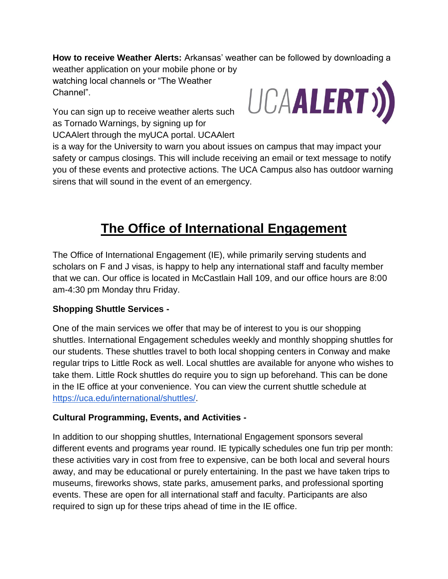**How to receive Weather Alerts:** Arkansas' weather can be followed by downloading a weather application on your mobile phone or by watching local channels or "The Weather Channel".

You can sign up to receive weather alerts such as Tornado Warnings, by signing up for UCAAlert through the myUCA portal. UCAAlert



is a way for the University to warn you about issues on campus that may impact your safety or campus closings. This will include receiving an email or text message to notify you of these events and protective actions. The UCA Campus also has outdoor warning sirens that will sound in the event of an emergency.

## **The Office of International Engagement**

The Office of International Engagement (IE), while primarily serving students and scholars on F and J visas, is happy to help any international staff and faculty member that we can. Our office is located in McCastlain Hall 109, and our office hours are 8:00 am-4:30 pm Monday thru Friday.

## **Shopping Shuttle Services -**

One of the main services we offer that may be of interest to you is our shopping shuttles. International Engagement schedules weekly and monthly shopping shuttles for our students. These shuttles travel to both local shopping centers in Conway and make regular trips to Little Rock as well. Local shuttles are available for anyone who wishes to take them. Little Rock shuttles do require you to sign up beforehand. This can be done in the IE office at your convenience. You can view the current shuttle schedule at [https://uca.edu/international/shuttles/.](https://uca.edu/international/shuttles/)

#### **Cultural Programming, Events, and Activities -**

In addition to our shopping shuttles, International Engagement sponsors several different events and programs year round. IE typically schedules one fun trip per month: these activities vary in cost from free to expensive, can be both local and several hours away, and may be educational or purely entertaining. In the past we have taken trips to museums, fireworks shows, state parks, amusement parks, and professional sporting events. These are open for all international staff and faculty. Participants are also required to sign up for these trips ahead of time in the IE office.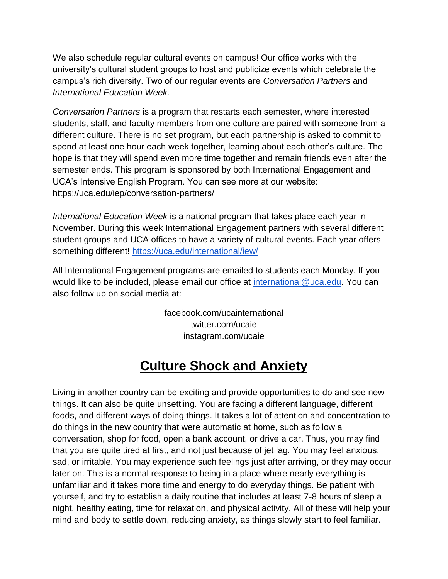We also schedule regular cultural events on campus! Our office works with the university's cultural student groups to host and publicize events which celebrate the campus's rich diversity. Two of our regular events are *Conversation Partners* and *International Education Week.*

*Conversation Partners* is a program that restarts each semester, where interested students, staff, and faculty members from one culture are paired with someone from a different culture. There is no set program, but each partnership is asked to commit to spend at least one hour each week together, learning about each other's culture. The hope is that they will spend even more time together and remain friends even after the semester ends. This program is sponsored by both International Engagement and UCA's Intensive English Program. You can see more at our website: https://uca.edu/iep/conversation-partners/

*International Education Week* is a national program that takes place each year in November. During this week International Engagement partners with several different student groups and UCA offices to have a variety of cultural events. Each year offers something different!<https://uca.edu/international/iew/>

All International Engagement programs are emailed to students each Monday. If you would like to be included, please email our office at [international@uca.edu.](mailto:international@uca.edu) You can also follow up on social media at:

> facebook.com/ucainternational twitter.com/ucaie instagram.com/ucaie

## **Culture Shock and Anxiety**

Living in another country can be exciting and provide opportunities to do and see new things. It can also be quite unsettling. You are facing a different language, different foods, and different ways of doing things. It takes a lot of attention and concentration to do things in the new country that were automatic at home, such as follow a conversation, shop for food, open a bank account, or drive a car. Thus, you may find that you are quite tired at first, and not just because of jet lag. You may feel anxious, sad, or irritable. You may experience such feelings just after arriving, or they may occur later on. This is a normal response to being in a place where nearly everything is unfamiliar and it takes more time and energy to do everyday things. Be patient with yourself, and try to establish a daily routine that includes at least 7-8 hours of sleep a night, healthy eating, time for relaxation, and physical activity. All of these will help your mind and body to settle down, reducing anxiety, as things slowly start to feel familiar.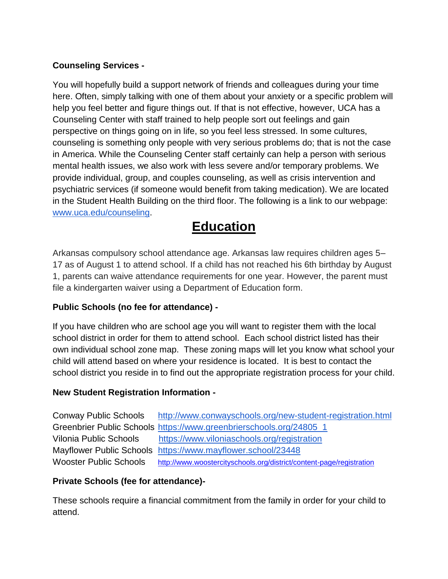## **Counseling Services -**

You will hopefully build a support network of friends and colleagues during your time here. Often, simply talking with one of them about your anxiety or a specific problem will help you feel better and figure things out. If that is not effective, however, UCA has a Counseling Center with staff trained to help people sort out feelings and gain perspective on things going on in life, so you feel less stressed. In some cultures, counseling is something only people with very serious problems do; that is not the case in America. While the Counseling Center staff certainly can help a person with serious mental health issues, we also work with less severe and/or temporary problems. We provide individual, group, and couples counseling, as well as crisis intervention and psychiatric services (if someone would benefit from taking medication). We are located in the Student Health Building on the third floor. The following is a link to our webpage: [www.uca.edu/counseling.](http://www.uca.edu/counseling)

## **Education**

Arkansas compulsory school attendance age. Arkansas law requires children ages 5– 17 as of August 1 to attend school. If a child has not reached his 6th birthday by August 1, parents can waive attendance requirements for one year. However, the parent must file a kindergarten waiver using a Department of Education form.

## **Public Schools (no fee for attendance) -**

If you have children who are school age you will want to register them with the local school district in order for them to attend school. Each school district listed has their own individual school zone map. These zoning maps will let you know what school your child will attend based on where your residence is located. It is best to contact the school district you reside in to find out the appropriate registration process for your child.

## **New Student Registration Information -**

Conway Public Schools <http://www.conwayschools.org/new-student-registration.html> Greenbrier Public Schools [https://www.greenbrierschools.org/24805\\_1](https://www.greenbrierschools.org/24805_1) Vilonia Public Schools <https://www.viloniaschools.org/registration> Mayflower Public Schools <https://www.mayflower.school/23448> Wooster Public Schools <http://www.woostercityschools.org/district/content-page/registration>

## **Private Schools (fee for attendance)-**

These schools require a financial commitment from the family in order for your child to attend.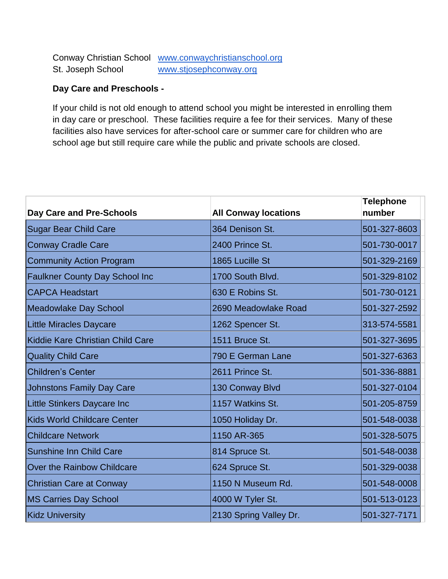Conway Christian School [www.conwaychristianschool.org](http://www.conwaychristanschool.org/) St. Joseph School [www.stjosephconway.org](http://www.stjosephconway.org/)

#### **Day Care and Preschools -**

If your child is not old enough to attend school you might be interested in enrolling them in day care or preschool. These facilities require a fee for their services. Many of these facilities also have services for after-school care or summer care for children who are school age but still require care while the public and private schools are closed.

|                                       |                             | <b>Telephone</b> |
|---------------------------------------|-----------------------------|------------------|
| <b>Day Care and Pre-Schools</b>       | <b>All Conway locations</b> | number           |
| <b>Sugar Bear Child Care</b>          | 364 Denison St.             | 501-327-8603     |
| <b>Conway Cradle Care</b>             | 2400 Prince St.             | 501-730-0017     |
| <b>Community Action Program</b>       | 1865 Lucille St             | 501-329-2169     |
| <b>Faulkner County Day School Inc</b> | 1700 South Blvd.            | 501-329-8102     |
| <b>CAPCA Headstart</b>                | 630 E Robins St.            | 501-730-0121     |
| <b>Meadowlake Day School</b>          | 2690 Meadowlake Road        | 501-327-2592     |
| <b>Little Miracles Daycare</b>        | 1262 Spencer St.            | 313-574-5581     |
| Kiddie Kare Christian Child Care      | 1511 Bruce St.              | 501-327-3695     |
| <b>Quality Child Care</b>             | 790 E German Lane           | 501-327-6363     |
| <b>Children's Center</b>              | 2611 Prince St.             | 501-336-8881     |
| <b>Johnstons Family Day Care</b>      | 130 Conway Blvd             | 501-327-0104     |
| <b>Little Stinkers Daycare Inc</b>    | 1157 Watkins St.            | 501-205-8759     |
| <b>Kids World Childcare Center</b>    | 1050 Holiday Dr.            | 501-548-0038     |
| <b>Childcare Network</b>              | 1150 AR-365                 | 501-328-5075     |
| <b>Sunshine Inn Child Care</b>        | 814 Spruce St.              | 501-548-0038     |
| Over the Rainbow Childcare            | 624 Spruce St.              | 501-329-0038     |
| <b>Christian Care at Conway</b>       | 1150 N Museum Rd.           | 501-548-0008     |
| <b>MS Carries Day School</b>          | 4000 W Tyler St.            | 501-513-0123     |
| <b>Kidz University</b>                | 2130 Spring Valley Dr.      | 501-327-7171     |